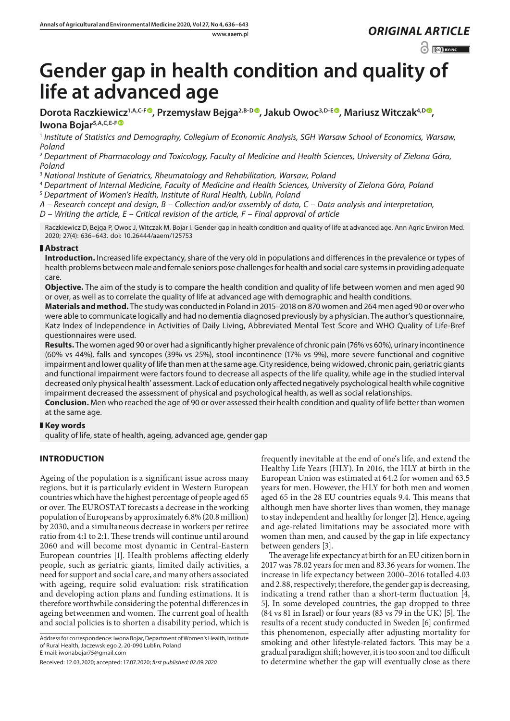$\odot$   $\odot$  EYNC

# **Gender gap in health condition and quality of life at advanced age**

Dorota Raczkiewicz<sup>1[,](https://orcid.org/0000-0001-6513-4040)A,C-F®</sup>, Przemysław Bejga<sup>2,B-D®</sup>, Jakub Owoc<sup>3,D-E®</sup>, Mariusz Witczak<sup>4,D®</sup>, **Iwona Bojar5,A,C,E-F**

<sup>1</sup> *Institute of Statistics and Demography, Collegium of Economic Analysis, SGH Warsaw School of Economics, Warsaw, Poland*

<sup>2</sup> *Department of Pharmacology and Toxicology, Faculty of Medicine and Health Sciences, University of Zielona Góra, Poland*

<sup>3</sup> *National Institute of Geriatrics, Rheumatology and Rehabilitation, Warsaw, Poland*

<sup>4</sup> *Department of Internal Medicine, Faculty of Medicine and Health Sciences, University of Zielona Góra, Poland* <sup>5</sup> *Department of Women's Health, Institute of Rural Health, Lublin, Poland*

*A – Research concept and design, B – Collection and/or assembly of data, C – Data analysis and interpretation, D – Writing the article, E – Critical revision of the article, F – Final approval of article*

Raczkiewicz D, Bejga P, Owoc J, Witczak M, Bojar I. Gender gap in health condition and quality of life at advanced age. Ann Agric Environ Med. 2020; 27(4): 636–643. doi: 10.26444/aaem/125753

# **Abstract**

**Introduction.** Increased life expectancy, share of the very old in populations and differences in the prevalence or types of health problems between male and female seniors pose challenges for health and social care systems in providing adequate care.

**Objective.** The aim of the study is to compare the health condition and quality of life between women and men aged 90 or over, as well as to correlate the quality of life at advanced age with demographic and health conditions.

**Materials and method.** The study was conducted in Poland in 2015–2018 on 870 women and 264 men aged 90 or over who were able to communicate logically and had no dementia diagnosed previously by a physician. The author's questionnaire, Katz Index of Independence in Activities of Daily Living, Abbreviated Mental Test Score and WHO Quality of Life-Bref questionnaires were used.

**Results.** The women aged 90 or over had a significantly higher prevalence of chronic pain (76% vs 60%), urinary incontinence (60% vs 44%), falls and syncopes (39% vs 25%), stool incontinence (17% vs 9%), more severe functional and cognitive impairment and lower quality of life than men at the same age. City residence, being widowed, chronic pain, geriatric giants and functional impairment were factors found to decrease all aspects of the life quality, while age in the studied interval decreased only physical health' assessment. Lack of education only affected negatively psychological health while cognitive impairment decreased the assessment of physical and psychological health, as well as social relationships.

**Conclusion.** Men who reached the age of 90 or over assessed their health condition and quality of life better than women at the same age.

# **Key words**

quality of life, state of health, ageing, advanced age, gender gap

# **INTRODUCTION**

Ageing of the population is a significant issue across many regions, but it is particularly evident in Western European countries which have the highest percentage of people aged 65 or over. The EUROSTAT forecasts a decrease in the working population of Europeans by approximately 6.8% (20.8 million) by 2030, and a simultaneous decrease in workers per retiree ratio from 4:1 to 2:1. These trends will continue until around 2060 and will become most dynamic in Central-Eastern European countries [1]. Health problems affecting elderly people, such as geriatric giants, limited daily activities, a need for support and social care, and many others associated with ageing, require solid evaluation: risk stratification and developing action plans and funding estimations. It is therefore worthwhile considering the potential differences in ageing betweenmen and women. The current goal of health and social policies is to shorten a disability period, which is

Address for correspondence: Iwona Bojar, Department of Women's Health, Institute of Rural Health, Jaczewskiego 2, 20-090 Lublin, Poland E-mail: iwonabojar75@gmail.com

frequently inevitable at the end of one's life, and extend the Healthy Life Years (HLY). In 2016, the HLY at birth in the European Union was estimated at 64.2 for women and 63.5 years for men. However, the HLY for both men and women aged 65 in the 28 EU countries equals 9.4*.* This means that although men have shorter lives than women, they manage to stay independent and healthy for longer [2]. Hence, ageing and age-related limitations may be associated more with women than men, and caused by the gap in life expectancy between genders [3].

The average life expectancy at birth for an EU citizen born in 2017 was 78.02 years for men and 83.36 years for women. The increase in life expectancy between 2000–2016 totalled 4.03 and 2.88, respectively; therefore, the gender gap is decreasing, indicating a trend rather than a short-term fluctuation [4, 5]. In some developed countries, the gap dropped to three (84 vs 81 in Israel) or four years (83 vs 79 in the UK) [5]. The results of a recent study conducted in Sweden [6] confirmed this phenomenon, especially after adjusting mortality for smoking and other lifestyle-related factors. This may be a gradual paradigm shift; however, it is too soon and too difficult to determine whether the gap will eventually close as there

Received: 12.03.2020; accepted: 17.07.2020; *first published: 02.09.2020*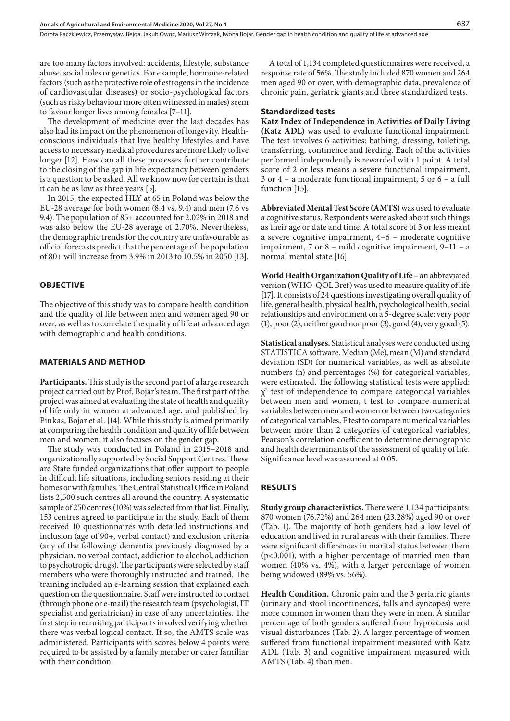are too many factors involved: accidents, lifestyle, substance abuse, social roles or genetics. For example, hormone-related factors (such as the protective role of estrogens in the incidence of cardiovascular diseases) or socio-psychological factors (such as risky behaviour more often witnessed in males) seem to favour longer lives among females [7–11].

The development of medicine over the last decades has also had its impact on the phenomenon of longevity. Healthconscious individuals that live healthy lifestyles and have access to necessary medical procedures are more likely to live longer [12]. How can all these processes further contribute to the closing of the gap in life expectancy between genders is a question to be asked. All we know now for certain is that it can be as low as three years [5].

In 2015, the expected HLY at 65 in Poland was below the EU-28 average for both women (8.4 vs. 9.4) and men (7.6 vs 9.4). The population of 85+ accounted for 2.02% in 2018 and was also below the EU-28 average of 2.70%. Nevertheless, the demographic trends for the country are unfavourable as official forecasts predict that the percentage of the population of 80+ will increase from 3.9% in 2013 to 10.5% in 2050 [13].

### **OBJECTIVE**

The objective of this study was to compare health condition and the quality of life between men and women aged 90 or over, as well as to correlate the quality of life at advanced age with demographic and health conditions.

## **MATERIALS AND METHOD**

**Participants.** This study is the second part of a large research project carried out by Prof. Bojar's team. The first part of the project was aimed at evaluating the state of health and quality of life only in women at advanced age, and published by Pinkas, Bojar et al. [14]. While this study is aimed primarily at comparing the health condition and quality of life between men and women, it also focuses on the gender gap.

The study was conducted in Poland in 2015–2018 and organizationally supported by Social Support Centres. These are State funded organizations that offer support to people in difficult life situations, including seniors residing at their homes or with families. The Central Statistical Office in Poland lists 2,500 such centres all around the country. A systematic sample of 250 centres (10%) was selected from that list. Finally, 153 centres agreed to participate in the study. Each of them received 10 questionnaires with detailed instructions and inclusion (age of 90+, verbal contact) and exclusion criteria (any of the following: dementia previously diagnosed by a physician, no verbal contact, addiction to alcohol, addiction to psychotropic drugs). The participants were selected by staff members who were thoroughly instructed and trained. The training included an e-learning session that explained each question on the questionnaire. Staff were instructed to contact (through phone or e-mail) the research team (psychologist, IT specialist and geriatrician) in case of any uncertainties. The first step in recruiting participants involved verifying whether there was verbal logical contact. If so, the AMTS scale was administered. Participants with scores below 4 points were required to be assisted by a family member or carer familiar with their condition.

A total of 1,134 completed questionnaires were received, a response rate of 56%. The study included 870 women and 264 men aged 90 or over, with demographic data, prevalence of chronic pain, geriatric giants and three standardized tests.

#### **Standardized tests**

**Katz Index of Independence in Activities of Daily Living (Katz ADL)** was used to evaluate functional impairment. The test involves 6 activities: bathing, dressing, toileting, transferring, continence and feeding. Each of the activities performed independently is rewarded with 1 point. A total score of 2 or less means a severe functional impairment, 3 or 4 – a moderate functional impairment, 5 or 6 – a full function [15].

**Abbreviated Mental Test Score (AMTS)** was used to evaluate a cognitive status. Respondents were asked about such things as their age or date and time. A total score of 3 or less meant a severe cognitive impairment, 4–6 – moderate cognitive impairment, 7 or 8 – mild cognitive impairment, 9–11 – a normal mental state [16].

**World Health Organization Quality of Life** – an abbreviated version **(**WHO-QOL Bref) was used to measure quality of life [17]. It consists of 24 questions investigating overall quality of life, general health, physical health, psychological health, social relationships and environment on a 5-degree scale: very poor (1), poor (2), neither good nor poor (3), good (4), very good (5).

**Statistical analyses.** Statistical analyses were conducted using STATISTICA software. Median (Me), mean (M) and standard deviation (SD) for numerical variables, as well as absolute numbers (n) and percentages (%) for categorical variables, were estimated. The following statistical tests were applied:  $\chi^2$  test of independence to compare categorical variables between men and women, t test to compare numerical variables between men and women or between two categories of categorical variables, F test to compare numerical variables between more than 2 categories of categorical variables, Pearson's correlation coefficient to determine demographic and health determinants of the assessment of quality of life. Significance level was assumed at 0.05.

## **RESULTS**

**Study group characteristics.** There were 1,134 participants: 870 women (76.72%) and 264 men (23.28%) aged 90 or over (Tab. 1). The majority of both genders had a low level of education and lived in rural areas with their families. There were significant differences in marital status between them (p<0.001), with a higher percentage of married men than women (40% vs. 4%), with a larger percentage of women being widowed (89% vs. 56%).

**Health Condition.** Chronic pain and the 3 geriatric giants (urinary and stool incontinences, falls and syncopes) were more common in women than they were in men. A similar percentage of both genders suffered from hypoacusis and visual disturbances (Tab. 2). A larger percentage of women suffered from functional impairment measured with Katz ADL (Tab. 3) and cognitive impairment measured with AMTS (Tab. 4) than men.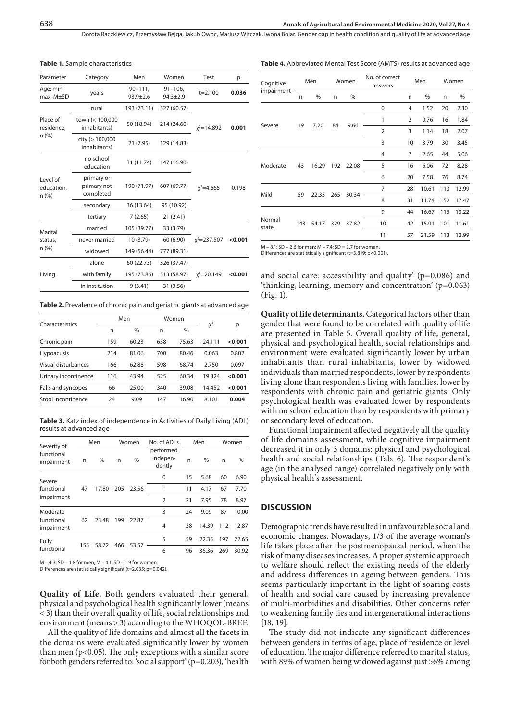| Parameter                                                                                                | Category                               | Men                                                                                                                                                                                                                    | Women                        | Test            | p       |  |  |
|----------------------------------------------------------------------------------------------------------|----------------------------------------|------------------------------------------------------------------------------------------------------------------------------------------------------------------------------------------------------------------------|------------------------------|-----------------|---------|--|--|
| Age: min-<br>max, M±SD                                                                                   | years                                  | $90 - 111$ ,<br>$93.9 \pm 2.6$                                                                                                                                                                                         | $91 - 106$<br>$94.3 \pm 2.9$ | $t = 2.100$     | 0.036   |  |  |
|                                                                                                          | rural                                  | 193 (73.11)                                                                                                                                                                                                            | 527 (60.57)                  |                 |         |  |  |
| Place of<br>residence,<br>n(%)<br>Level of<br>education,<br>n(%)<br>Marital<br>status,<br>n(%)<br>Living | town (< 100,000<br>inhabitants)        | 50 (18.94)                                                                                                                                                                                                             | 214 (24.60)                  | $x^2 = 14.892$  | 0.001   |  |  |
|                                                                                                          | city (> 100,000<br>inhabitants)        | 21 (7.95)<br>129 (14.83)                                                                                                                                                                                               |                              |                 |         |  |  |
|                                                                                                          | no school<br>education                 | 31 (11.74)                                                                                                                                                                                                             | 147 (16.90)                  |                 |         |  |  |
|                                                                                                          | primary or<br>primary not<br>completed | 190 (71.97)                                                                                                                                                                                                            | 607 (69.77)                  | $x^2 = 4.665$   | 0.198   |  |  |
|                                                                                                          | secondary                              | 36 (13.64)<br>95 (10.92)<br>7(2.65)<br>21(2.41)<br>105 (39.77)<br>33 (3.79)<br>10 (3.79)<br>60 (6.90)<br>149 (56.44)<br>777 (89.31)<br>60 (22.73)<br>326 (37.47)<br>195 (73.86)<br>513 (58.97)<br>9(3.41)<br>31 (3.56) |                              |                 |         |  |  |
| tertiary                                                                                                 |                                        |                                                                                                                                                                                                                        |                              |                 |         |  |  |
|                                                                                                          | married                                |                                                                                                                                                                                                                        |                              |                 |         |  |  |
|                                                                                                          | never married                          |                                                                                                                                                                                                                        |                              | $x^2 = 237.507$ | < 0.001 |  |  |
|                                                                                                          | widowed                                |                                                                                                                                                                                                                        |                              |                 |         |  |  |
|                                                                                                          | alone                                  |                                                                                                                                                                                                                        |                              |                 |         |  |  |
|                                                                                                          | with family                            | $x^2 = 20.149$                                                                                                                                                                                                         | < 0.001                      |                 |         |  |  |
|                                                                                                          | in institution                         |                                                                                                                                                                                                                        |                              |                 |         |  |  |

**Table 1.** Sample characteristics

**Table 2.** Prevalence of chronic pain and geriatric giants at advanced age

|                      |     | Men           |     | Women         |        |         |  |
|----------------------|-----|---------------|-----|---------------|--------|---------|--|
| Characteristics      | n   | $\frac{0}{0}$ | n   | $\frac{0}{0}$ | $X^2$  | р       |  |
| Chronic pain         | 159 | 60.23         | 658 | 75.63         | 24.111 | < 0.001 |  |
| <b>Hypoacusis</b>    | 214 | 81.06         | 700 | 80.46         | 0.063  | 0.802   |  |
| Visual disturbances  | 166 | 62.88         | 598 | 68.74         | 2.750  | 0.097   |  |
| Urinary incontinence | 116 | 43.94         | 525 | 60.34         | 19.824 | < 0.001 |  |
| Falls and syncopes   | 66  | 25.00         | 340 | 39.08         | 14.452 | < 0.001 |  |
| Stool incontinence   | 24  | 9.09          | 147 | 16.90         | 8.101  | 0.004   |  |
|                      |     |               |     |               |        |         |  |

**Table 3.** Katz index of independence in Activities of Daily Living (ADL) results at advanced age

| Severity of              |     | Men   |     | Women | No. of ADLs                     |      | Men           | Women |       |  |
|--------------------------|-----|-------|-----|-------|---------------------------------|------|---------------|-------|-------|--|
| functional<br>impairment | n   | %     | n   | %     | performed<br>indepen-<br>dently | n    | $\frac{0}{0}$ | n     | %     |  |
| Severe                   |     |       |     |       | 0                               | 15   | 5.68          | 60    | 6.90  |  |
| functional               | 47  | 17.80 | 205 | 23.56 | 1                               | 11   | 4.17          | 67    | 7.70  |  |
| impairment               |     |       |     | 2     | 21                              | 7.95 | 78            | 8.97  |       |  |
| Moderate                 |     |       |     |       | 3                               | 24   | 9.09          | 87    | 10.00 |  |
| functional<br>impairment | 62  | 23.48 | 199 | 22.87 | 4                               | 38   | 14.39         | 112   | 12.87 |  |
| Fully                    | 155 |       | 466 | 53.57 | 5                               | 59   | 22.35         | 197   | 22.65 |  |
| functional               |     | 58.72 |     |       | 6                               | 96   | 36.36         | 269   | 30.92 |  |

M – 4.3; SD – 1.8 for men; M – 4.1; SD – 1.9 for women. Differences are statistically significant (t=2.035; p=0.042).

**Quality of Life.** Both genders evaluated their general, physical and psychological health significantly lower (means < 3) than their overall quality of life, social relationships and environment (means > 3) according to the WHOQOL-BREF.

All the quality of life domains and almost all the facets in the domains were evaluated significantly lower by women than men (p<0.05). The only exceptions with a similar score for both genders referred to: 'social support' (p=0.203), 'health

**Table 4.** Abbreviated Mental Test Score (AMTS) results at advanced age

| Cognitive       |     | Men            |     | Women | No. of correct<br>answers |                | Men   | Women |       |  |
|-----------------|-----|----------------|-----|-------|---------------------------|----------------|-------|-------|-------|--|
| impairment      | n   | %<br>$\%$<br>n |     |       | n                         | %              | n     | %     |       |  |
|                 |     |                |     |       | 0                         | 4              | 1.52  | 20    | 2.30  |  |
|                 |     |                |     |       | 1                         | $\overline{2}$ | 0.76  | 16    | 1.84  |  |
| Severe          | 19  | 7.20           | 84  | 9.66  | $\overline{2}$            | 3              | 1.14  | 18    | 2.07  |  |
|                 |     |                |     |       | 3                         | 10             | 3.79  | 30    | 3.45  |  |
|                 |     |                |     |       | 4                         | 7              | 2.65  | 44    | 5.06  |  |
| Moderate        | 43  | 16.29          | 192 | 22.08 | 5                         | 16             | 6.06  | 72    | 8.28  |  |
|                 |     |                |     |       | 6                         | 20             | 7.58  | 76    | 8.74  |  |
|                 |     |                |     |       | 7                         | 28             | 10.61 | 113   | 12.99 |  |
| Mild            | 59  | 22.35          | 265 | 30.34 | 8                         | 31             | 11.74 | 152   | 17.47 |  |
|                 |     |                |     |       | 9                         | 44             | 16.67 | 115   | 13.22 |  |
| Normal<br>state | 143 | 54.17          | 329 | 37.82 | 10                        | 42             | 15.91 | 101   | 11.61 |  |
|                 |     |                |     |       | 11                        | 57             | 21.59 | 113   | 12.99 |  |
|                 |     |                |     |       |                           |                |       |       |       |  |

 $M - 8.1$ ; SD – 2.6 for men;  $M - 7.4$ ; SD = 2.7 for women Differences are statistically significant (t=3.819; p**<**0.001).

and social care: accessibility and quality' (p=0.086) and 'thinking, learning, memory and concentration' (p=0.063) (Fig. 1).

**Quality of life determinants.** Categorical factors other than gender that were found to be correlated with quality of life are presented in Table 5. Overall quality of life, general, physical and psychological health, social relationships and environment were evaluated significantly lower by urban inhabitants than rural inhabitants, lower by widowed individuals than married respondents, lower by respondents living alone than respondents living with families, lower by respondents with chronic pain and geriatric giants. Only psychological health was evaluated lower by respondents with no school education than by respondents with primary or secondary level of education.

Functional impairment affected negatively all the quality of life domains assessment, while cognitive impairment decreased it in only 3 domains: physical and psychological health and social relationships (Tab. 6). The respondent's age (in the analysed range) correlated negatively only with physical health's assessment.

#### **DISCUSSION**

Demographic trends have resulted in unfavourable social and economic changes. Nowadays, 1/3 of the average woman's life takes place after the postmenopausal period, when the risk of many diseases increases. A proper systemic approach to welfare should reflect the existing needs of the elderly and address differences in ageing between genders. This seems particularly important in the light of soaring costs of health and social care caused by increasing prevalence of multi-morbidities and disabilities. Other concerns refer to weakening family ties and intergenerational interactions [18, 19].

The study did not indicate any significant differences between genders in terms of age, place of residence or level of education. The major difference referred to marital status, with 89% of women being widowed against just 56% among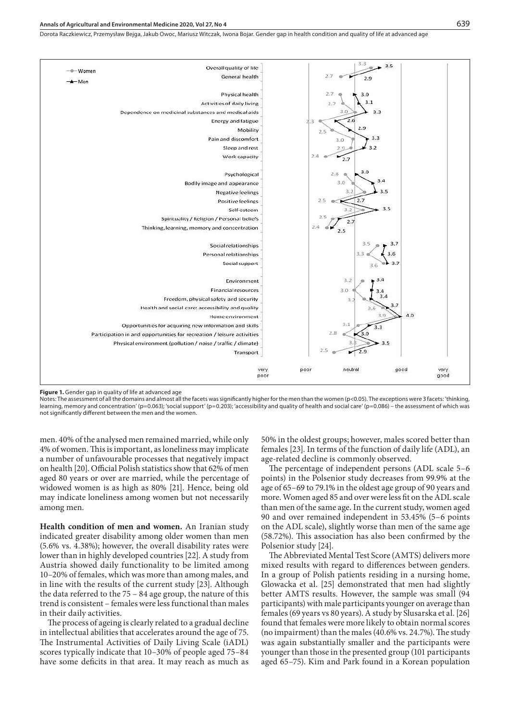### **Annals of Agricultural and Environmental Medicine 2020, Vol 27, No 4** 639

Dorota Raczkiewicz, Przemysław Bejga, Jakub Owoc, Mariusz Witczak, Iwona Bojar . Gender gap in health condition and quality of life at advanced age



**Figure 1.** Gender gap in quality of life at advanced age

Notes: The assessment of all the domains and almost all the facets was significantly higher for the men than the women (p<0.05). The exceptions were 3 facets: 'thinking, learning, memory and concentration' (p=0.063); 'social support' (p=0.203); 'accessibility and quality of health and social care' (p=0.086) – the assessment of which was not significantly different between the men and the women.

men. 40% of the analysed men remained married, while only 4% of women. This is important, as loneliness may implicate a number of unfavourable processes that negatively impact on health [20]. Official Polish statistics show that 62% of men aged 80 years or over are married, while the percentage of widowed women is as high as 80% [21]. Hence, being old may indicate loneliness among women but not necessarily among men.

**Health condition of men and women.** An Iranian study indicated greater disability among older women than men (5.6% vs. 4.38%); however, the overall disability rates were lower than in highly developed countries [22]. A study from Austria showed daily functionality to be limited among 10–20% of females, which was more than among males, and in line with the results of the current study [23]. Although the data referred to the 75 – 84 age group, the nature of this trend is consistent – females were less functional than males in their daily activities.

The process of ageing is clearly related to a gradual decline in intellectual abilities that accelerates around the age of 75. The Instrumental Activities of Daily Living Scale (iADL) scores typically indicate that 10–30% of people aged 75–84 have some deficits in that area. It may reach as much as 50% in the oldest groups; however, males scored better than females [23]. In terms of the function of daily life (ADL), an age-related decline is commonly observed.

The percentage of independent persons (ADL scale 5–6 points) in the Polsenior study decreases from 99.9% at the age of 65–69 to 79.1% in the oldest age group of 90 years and more. Women aged 85 and over were less fit on the ADL scale than men of the same age. In the current study, women aged 90 and over remained independent in 53.45% (5–6 points on the ADL scale), slightly worse than men of the same age (58.72%). This association has also been confirmed by the Polsenior study [24].

The Abbreviated Mental Test Score (AMTS) delivers more mixed results with regard to differences between genders. In a group of Polish patients residing in a nursing home, Glowacka et al. [25] demonstrated that men had slightly better AMTS results. However, the sample was small (94 participants) with male participants younger on average than females (69 years vs 80 years). A study by Slusarska et al. [26] found that females were more likely to obtain normal scores (no impairment) than the males (40.6% vs. 24.7%). The study was again substantially smaller and the participants were younger than those in the presented group (101 participants aged 65–75). Kim and Park found in a Korean population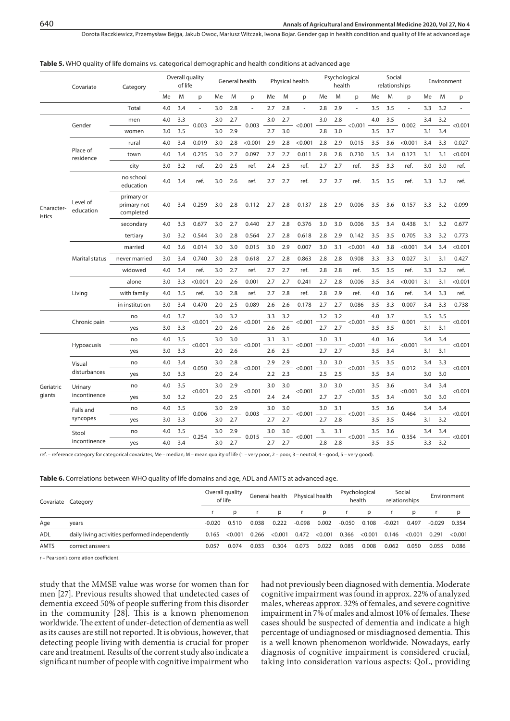|                      | Covariate             | Category                               |     | of life | Overall quality |     |     | General health           |     |     | Physical health          |     | health | Psychological |     | Social | relationships |     | Environment |            |
|----------------------|-----------------------|----------------------------------------|-----|---------|-----------------|-----|-----|--------------------------|-----|-----|--------------------------|-----|--------|---------------|-----|--------|---------------|-----|-------------|------------|
|                      |                       |                                        | Me  | M       | p               | Me  | M   | p                        | Me  | M   | p                        | Me  | M      | p             | Me  | M      | p             | Me  | M           | p          |
|                      |                       | Total                                  | 4.0 | 3.4     | ÷,              | 3.0 | 2.8 | $\overline{\phantom{a}}$ | 2.7 | 2.8 | $\overline{\phantom{a}}$ | 2.8 | 2.9    |               | 3.5 | 3.5    | ÷,            | 3.3 | 3.2         |            |
|                      |                       | men                                    | 4.0 | 3.3     |                 | 3.0 | 2.7 |                          | 3.0 | 2.7 |                          | 3.0 | 2.8    |               | 4.0 | 3.5    |               | 3.4 | 3.2         |            |
|                      | Gender                | women                                  | 3.0 | 3.5     | 0.003           | 3.0 | 2.9 | 0.003                    | 2.7 | 3.0 | < 0.001                  | 2.8 | 3.0    | < 0.001       | 3.5 | 3.7    | 0.002         | 3.1 | 3.4         | < 0.001    |
|                      |                       | rural                                  | 4.0 | 3.4     | 0.019           | 3.0 | 2.8 | < 0.001                  | 2.9 | 2.8 | < 0.001                  | 2.8 | 2.9    | 0.015         | 3.5 | 3.6    | < 0.001       | 3.4 | 3.3         | 0.027      |
|                      | Place of<br>residence | town                                   | 4.0 | 3.4     | 0.235           | 3.0 | 2.7 | 0.097                    | 2.7 | 2.7 | 0.011                    | 2.8 | 2.8    | 0.230         | 3.5 | 3.4    | 0.123         | 3.1 | 3.1         | < 0.001    |
|                      |                       | city                                   | 3.0 | 3.2     | ref.            | 2.0 | 2.5 | ref.                     | 2.4 | 2.5 | ref.                     | 2.7 | 2.7    | ref.          | 3.5 | 3.3    | ref.          | 3.0 | 3.0         | ref.       |
|                      |                       | no school<br>education                 | 4.0 | 3.4     | ref.            | 3.0 | 2.6 | ref.                     | 2.7 | 2.7 | ref.                     | 2.7 | 2.7    | ref.          | 3.5 | 3.5    | ref.          | 3.3 | 3.2         | ref.       |
| Character-<br>istics | Level of<br>education | primary or<br>primary not<br>completed | 4.0 | 3.4     | 0.259           | 3.0 | 2.8 | 0.112                    | 2.7 | 2.8 | 0.137                    | 2.8 | 2.9    | 0.006         | 3.5 | 3.6    | 0.157         | 3.3 | 3.2         | 0.099      |
|                      |                       | secondary                              | 4.0 | 3.3     | 0.677           | 3.0 | 2.7 | 0.440                    | 2.7 | 2.8 | 0.376                    | 3.0 | 3.0    | 0.006         | 3.5 | 3.4    | 0.438         | 3.1 | 3.2         | 0.677      |
|                      |                       | tertiary                               | 3.0 | 3.2     | 0.544           | 3.0 | 2.8 | 0.564                    | 2.7 | 2.8 | 0.618                    | 2.8 | 2.9    | 0.142         | 3.5 | 3.5    | 0.705         | 3.3 | 3.2         | 0.773      |
|                      | Marital status        | married                                | 4.0 | 3.6     | 0.014           | 3.0 | 3.0 | 0.015                    | 3.0 | 2.9 | 0.007                    | 3.0 | 3.1    | < 0.001       | 4.0 | 3.8    | < 0.001       | 3.4 | 3.4         | < 0.001    |
|                      |                       | never married                          | 3.0 | 3.4     | 0.740           | 3.0 | 2.8 | 0.618                    | 2.7 | 2.8 | 0.863                    | 2.8 | 2.8    | 0.908         | 3.3 | 3.3    | 0.027         | 3.1 | 3.1         | 0.427      |
|                      |                       | widowed                                | 4.0 | 3.4     | ref.            | 3.0 | 2.7 | ref.                     | 2.7 | 2.7 | ref.                     | 2.8 | 2.8    | ref.          | 3.5 | 3.5    | ref.          | 3.3 | 3.2         | ref.       |
|                      | Living                | alone                                  | 3.0 | 3.3     | < 0.001         | 2.0 | 2.6 | 0.001                    | 2.7 | 2.7 | 0.241                    | 2.7 | 2.8    | 0.006         | 3.5 | 3.4    | < 0.001       | 3.1 | 3.1         | < 0.001    |
|                      |                       | with family                            | 4.0 | 3.5     | ref.            | 3.0 | 2.8 | ref.                     | 2.7 | 2.8 | ref.                     | 2.8 | 2.9    | ref.          | 4.0 | 3.6    | ref.          | 3.4 | 3.3         | ref.       |
|                      |                       | in institution                         | 3.0 | 3.4     | 0.470           | 2.0 | 2.5 | 0.089                    | 2.6 | 2.6 | 0.178                    | 2.7 | 2.7    | 0.086         | 3.5 | 3.3    | 0.007         | 3.4 | 3.3         | 0.738      |
|                      |                       | no                                     | 4.0 | 3.7     |                 | 3.0 | 3.2 |                          | 3.3 | 3.2 |                          | 3.2 | 3.2    |               | 4.0 | 3.7    |               | 3.5 | 3.5         |            |
|                      | Chronic pain -        | yes                                    | 3.0 | 3.3     | < 0.001         | 2.0 | 2.6 | < 0.001                  | 2.6 | 2.6 | < 0.001                  | 2.7 | 2.7    | < 0.001       | 3.5 | 3.5    | 0.001         | 3.1 | 3.1         | < 0.001    |
|                      |                       | no                                     | 4.0 | 3.5     |                 | 3.0 | 3.0 |                          | 3.1 | 3.1 |                          | 3.0 | 3.1    |               | 4.0 | 3.6    |               | 3.4 | 3.4         |            |
|                      | Hypoacusis            | yes                                    | 3.0 | 3.3     | < 0.001         | 2.0 | 2.6 | < 0.001                  | 2.6 | 2.5 | < 0.001                  | 2.7 | 2.7    | < 0.001       | 3.5 | 3.4    | < 0.001       | 3.1 | 3.1         | < 0.001    |
|                      | Visual                | no                                     | 4.0 | 3.4     |                 | 3.0 | 2.8 |                          | 2.9 | 2.9 |                          | 3.0 | 3.0    |               | 3.5 | 3.5    |               | 3.4 | 3.3         |            |
|                      | disturbances          | yes                                    | 3.0 | 3.3     | 0.050           | 2.0 | 2.4 | < 0.001                  | 2.2 | 2.3 | < 0.001                  | 2.5 | 2.5    | < 0.001       | 3.5 | 3.4    | 0.012         | 3.0 | 3.0         | < 0.001    |
| Geriatric            | Urinary               | no                                     | 4.0 | 3.5     |                 | 3.0 | 2.9 |                          | 3.0 | 3.0 |                          | 3.0 | 3.0    |               | 3.5 | 3.6    |               | 3.4 | 3.4         |            |
| giants               | incontinence          | yes                                    | 3.0 | 3.2     | < 0.001         | 2.0 | 2.5 | $-$ <0.001               | 2.4 | 2.4 | $-$ <0.001 -             | 2.7 | 2.7    | $-$ <0.001    | 3.5 | 3.4    | $-$ <0.001    | 3.0 | 3.0         | $-$ <0.001 |
|                      | Falls and             | no                                     | 4.0 | 3.5     |                 | 3.0 | 2.9 |                          | 3.0 | 3.0 |                          | 3.0 | 3.1    |               | 3.5 | 3.6    |               | 3.4 | 3.4         |            |
|                      | syncopes              | yes                                    | 3.0 | 3.3     | 0.006           | 3.0 | 2.7 | 0.003                    | 2.7 | 2.7 | < 0.001                  | 2.7 | 2.8    | < 0.001       | 3.5 | 3.5    | 0.464         | 3.1 | 3.2         | < 0.001    |
|                      | Stool                 | no                                     | 4.0 | 3.5     |                 | 3.0 | 2.9 |                          | 3.0 | 3.0 |                          | 3.  | 3.1    |               | 3.5 | 3.6    |               | 3.4 | 3.4         |            |
|                      | incontinence          | yes                                    | 4.0 | 3.4     | 0.254           | 3.0 | 2.7 | $-0.015$                 | 2.7 | 2.7 | $-$ <0.001 -             | 2.8 | 2.8    | $-$ <0.001    | 3.5 | 3.5    | $-0.354$      | 3.3 | 3.2         | $-$ <0.001 |

#### **Table 5.** WHO quality of life domains vs. categorical demographic and health conditions at advanced age

ref. – reference category for categorical covariates; Me – median; M – mean quality of life (1 – very poor, 2 – poor, 3 – neutral, 4 – good, 5 – very good).

#### **Table 6.** Correlations between WHO quality of life domains and age, ADL and AMTS at advanced age.

| Covariate Category |                                                 | Overall quality<br>of life |              | General health |         |          | Physical health |          | Psychological<br>health | Social<br>relationships |         | Environment |         |
|--------------------|-------------------------------------------------|----------------------------|--------------|----------------|---------|----------|-----------------|----------|-------------------------|-------------------------|---------|-------------|---------|
|                    |                                                 |                            | <sub>D</sub> |                | D.      |          | p               |          | D                       |                         |         |             | D.      |
| Age                | years                                           | $-0.020$                   | 0.510        | 0.038          | 0.222   | $-0.098$ | 0.002           | $-0.050$ | 0.108                   | $-0.021$                | 0.497   | $-0.029$    | 0.354   |
| <b>ADL</b>         | daily living activities performed independently | 0.165                      | < 0.001      | 0.266          | < 0.001 | 0.472    | < 0.001         | 0.366    | < 0.001                 | 0.146                   | < 0.001 | 0.291       | < 0.001 |
| <b>AMTS</b>        | correct answers                                 | 0.057                      | 0.074        | 0.033          | 0.304   | 0.073    | 0.022           | 0.085    | 0.008                   | 0.062                   | 0.050   | 0.055       | 0.086   |

r – Pearson's correlation coefficient.

study that the MMSE value was worse for women than for men [27]. Previous results showed that undetected cases of dementia exceed 50% of people suffering from this disorder in the community [28]. This is a known phenomenon worldwide. The extent of under-detection of dementia as well as its causes are still not reported. It is obvious, however, that detecting people living with dementia is crucial for proper care and treatment. Results of the corrent study also indicate a significant number of people with cognitive impairment who

had not previously been diagnosed with dementia. Moderate cognitive impairment was found in approx. 22% of analyzed males, whereas approx. 32% of females, and severe cognitive impairment in 7% of males and almost 10% of females. These cases should be suspected of dementia and indicate a high percentage of undiagnosed or misdiagnosed dementia. This is a well known phenomenon worldwide. Nowadays, early diagnosis of cognitive impairment is considered crucial, taking into consideration various aspects: QoL, providing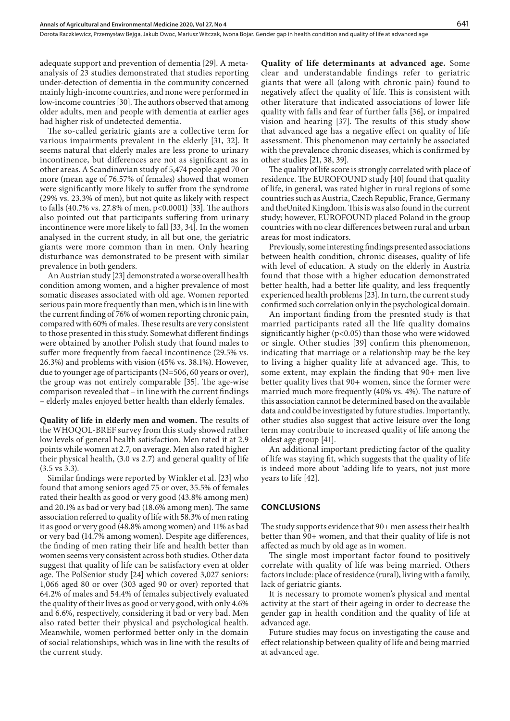adequate support and prevention of dementia [29]. A metaanalysis of 23 studies demonstrated that studies reporting under-detection of dementia in the community concerned mainly high-income countries, and none were performed in low-income countries [30]. The authors observed that among older adults, men and people with dementia at earlier ages had higher risk of undetected dementia.

The so-called geriatric giants are a collective term for various impairments prevalent in the elderly [31, 32]. It seems natural that elderly males are less prone to urinary incontinence, but differences are not as significant as in other areas. A Scandinavian study of 5,474 people aged 70 or more (mean age of 76.57% of females) showed that women were significantly more likely to suffer from the syndrome (29% vs. 23.3% of men), but not quite as likely with respect to falls (40.7% vs. 27.8% of men, p<0.0001) [33]. The authors also pointed out that participants suffering from urinary incontinence were more likely to fall [33, 34]. In the women analysed in the current study, in all but one, the geriatric giants were more common than in men. Only hearing disturbance was demonstrated to be present with similar prevalence in both genders.

An Austrian study [23] demonstrated a worse overall health condition among women, and a higher prevalence of most somatic diseases associated with old age. Women reported serious pain more frequently than men, which is in line with the current finding of 76% of women reporting chronic pain, compared with 60% of males. These results are very consistent to those presented in this study. Somewhat different findings were obtained by another Polish study that found males to suffer more frequently from faecal incontinence (29.5% vs. 26.3%) and problems with vision (45% vs. 38.1%). However, due to younger age of participants (N=506, 60 years or over), the group was not entirely comparable [35]. The age-wise comparison revealed that – in line with the current findings – elderly males enjoyed better health than elderly females.

**Quality of life in elderly men and women.** The results of the WHOQOL-BREF survey from this study showed rather low levels of general health satisfaction. Men rated it at 2.9 points while women at 2.7, on average. Men also rated higher their physical health, (3.0 vs 2.7) and general quality of life (3.5 vs 3.3).

Similar findings were reported by Winkler et al. [23] who found that among seniors aged 75 or over, 35.5% of females rated their health as good or very good (43.8% among men) and 20.1% as bad or very bad (18.6% among men). The same association referred to quality of life with 58.3% of men rating it as good or very good (48.8% among women) and 11% as bad or very bad (14.7% among women). Despite age differences, the finding of men rating their life and health better than women seems very consistent across both studies. Other data suggest that quality of life can be satisfactory even at older age. The PolSenior study [24] which covered 3,027 seniors: 1,066 aged 80 or over (303 aged 90 or over) reported that 64.2% of males and 54.4% of females subjectively evaluated the quality of their lives as good or very good, with only 4.6% and 6.6%, respectively, considering it bad or very bad. Men also rated better their physical and psychological health. Meanwhile, women performed better only in the domain of social relationships, which was in line with the results of the current study.

**Quality of life determinants at advanced age.** Some clear and understandable findings refer to geriatric giants that were all (along with chronic pain) found to negatively affect the quality of life. This is consistent with other literature that indicated associations of lower life quality with falls and fear of further falls [36], or impaired vision and hearing [37]. The results of this study show that advanced age has a negative effect on quality of life assessment. This phenomenon may certainly be associated with the prevalence chronic diseases, which is confirmed by other studies [21, 38, 39].

The quality of life score is strongly correlated with place of residence. The EUROFOUND study [40] found that quality of life, in general, was rated higher in rural regions of some countries such as Austria, Czech Republic, France, Germany and theUnited Kingdom. This is was also found in the current study; however, EUROFOUND placed Poland in the group countries with no clear differences between rural and urban areas for most indicators.

Previously, some interesting findings presented associations between health condition, chronic diseases, quality of life with level of education. A study on the elderly in Austria found that those with a higher education demonstrated better health, had a better life quality, and less frequently experienced health problems [23]. In turn, the current study confirmed such correlation only in the psychological domain.

An important finding from the presnted study is that married participants rated all the life quality domains significantly higher ( $p<0.05$ ) than those who were widowed or single. Other studies [39] confirm this phenomenon, indicating that marriage or a relationship may be the key to living a higher quality life at advanced age. This, to some extent, may explain the finding that 90+ men live better quality lives that 90+ women, since the former were married much more frequently (40% vs. 4%). The nature of this association cannot be determined based on the available data and could be investigated by future studies. Importantly, other studies also suggest that active leisure over the long term may contribute to increased quality of life among the oldest age group [41].

An additional important predicting factor of the quality of life was staying fit, which suggests that the quality of life is indeed more about 'adding life to years, not just more years to life [42].

#### **CONCLUSIONS**

The study supports evidence that 90+ men assess their health better than 90+ women, and that their quality of life is not affected as much by old age as in women.

The single most important factor found to positively correlate with quality of life was being married. Others factors include: place of residence (rural), living with a family, lack of geriatric giants.

It is necessary to promote women's physical and mental activity at the start of their ageing in order to decrease the gender gap in health condition and the quality of life at advanced age.

Future studies may focus on investigating the cause and effect relationship between quality of life and being married at advanced age.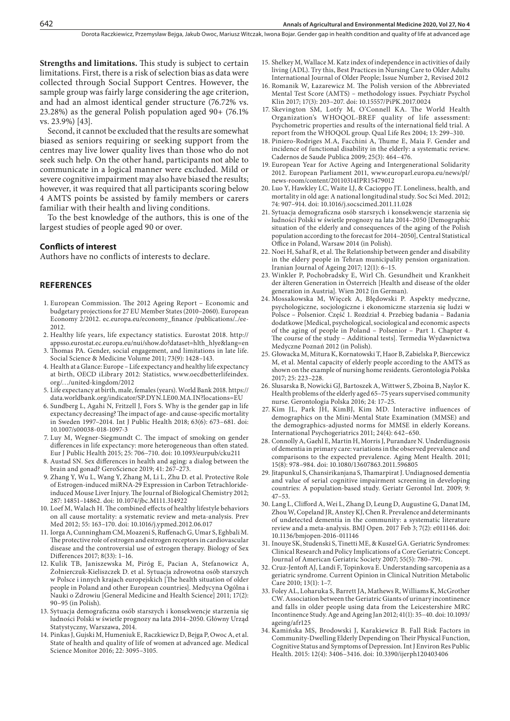**Strengths and limitations.** This study is subject to certain limitations. First, there is a risk of selection bias as data were collected through Social Support Centres. However, the sample group was fairly large considering the age criterion, and had an almost identical gender structure (76.72% vs. 23.28%) as the general Polish population aged 90+ (76.1% vs. 23.9%) [43].

Second, it cannot be excluded that the results are somewhat biased as seniors requiring or seeking support from the centres may live lower quality lives than those who do not seek such help. On the other hand, participants not able to communicate in a logical manner were excluded. Mild or severe cognitive impairment may also have biased the results; however, it was required that all participants scoring below 4 AMTS points be assisted by family members or carers familiar with their health and living conditions.

To the best knowledge of the authors, this is one of the largest studies of people aged 90 or over.

#### **Conflicts of interest**

Authors have no conflicts of interests to declare.

## **REFERENCES**

- 1. European Commission. The 2012 Ageing Report Economic and budgetary projections for 27 EU Member States (2010–2060). European Economy 2/2012. ec.europa.eu/economy\_finance /publications/../ee-2012.
- 2. Healthy life years, life expectancy statistics. Eurostat 2018. [http://](about:blank) [appsso.eurostat.ec.europa.eu/nui/show.do?dataset=hlth\\_hlye&lang=en](about:blank)
- 3. Thomas PA. Gender, social engagement, and limitations in late life. Social Science & Medicine [Volume 2011; 73\(9](about:blank)): 1428–143.
- 4. Health at a Glance: Europe Life expectancy and healthy life expectancy at birth, OECD iLibrary 2012: Statistics, [www.oecdbetterlifeindex.](about:blank) [org/…/united-kingdom/2012](about:blank)
- 5. Life expectancy at birth, male, females (years). World Bank 2018. [https://](about:blank) [data.worldbank.org/indicator/SP.DYN.LE00.MA.IN?locations=EU](about:blank)
- 6. Sundberg L, Agahi N, Fritzell J, Fors S. Why is the gender gap in life expectancy decreasing? The impact of age- and cause-specific mortality in Sweden 1997–2014. [Int J Public Health](about:blank) 2018; 63(6): 673–681. doi: [10.1007/s00038-018-1097-3](about:blank)
- 7. Luy M, Wegner-Siegmundt C. The impact of smoking on gender differences in life expectancy: more heterogeneous than often stated. Eur J Public Health 2015; 25: 706–710. doi: [10.1093/eurpub/cku211](about:blank)
- 8. Austad SN. [Sex differences in health and aging: a dialog between the](about:blank) [brain and gonad?](about:blank) GeroScience 2019; 41: 267–273.
- 9. Zhang Y, Wu L, Wang Y, Zhang M, Li L, Zhu D. et al. Protective Role of Estrogen-induced miRNA-29 Expression in Carbon Tetrachlorideinduced Mouse Liver Injury. The Journal of Biological Chemistry 2012; 287: 14851–14862. doi: [10.1074/jbc.M111.314922](about:blank)
- 10. Loef M, Walach H. The combined effects of healthy lifestyle behaviors on all cause mortality: a systematic review and meta-analysis. Prev Med 2012; 55: 163–170. doi: 10.1016/j.ypmed.2012.06.017
- 11. Iorga A, Cunningham CM, Moazeni S, Ruffenach G, Umar S, Eghbali M. The protective role of estrogen and estrogen receptors in cardiovascular disease and the controversial use of estrogen therapy. Biology of Sex Differences 2017; 8(33): 1–16.
- 12. Kulik TB, Janiszewska M, Piróg E, Pacian A, Stefanowicz A, Żołnierczuk-Kieliszczek D. et al. Sytuacja zdrowotna osób starszych w Polsce i innych krajach europejskich [The health situation of older people in Poland and other European countries]. Medycyna Ogólna i Nauki o Zdrowiu [General Medicine and Health Science] 2011; 17(2): 90–95 (in Polish).
- 13. Sytuacja demograficzna osób starszych i konsekwencje starzenia się ludności Polski w świetle prognozy na lata 2014–2050. Główny Urząd Statystyczny, Warszawa, 2014.
- 14. Pinkas J, Gujski M, Humeniuk E, Raczkiewicz D, Bejga P, Owoc A, et al. State of health and quality of life of women at advanced age. Medical Science Monitor 2016; 22: 3095–3105.
- 15. Shelkey M, Wallace M. Katz index of independence in activities of daily living (ADL). Try this, Best Practices in Nursing Care to Older Adults International Journal of Older People; Issue Number 2, Revised 2012
- 16. Romanik W, Łazarewicz M. The Polish version of the Abbreviated Mental Test Score (AMTS) – methodology issues. Psychiatr Psychol Klin 2017; 17(3): 203–207. doi: 10.15557/PiPK.2017.0024
- 17. Skevington SM, Lotfy M, O'Connell KA. The World Health Organization's WHOQOL-BREF quality of life assessment: Psychometric properties and results of the international field trial. A report from the WHOQOL group. Qual Life Res 2004; 13: 299–310.
- 18. Piniero-Rodriges M.A, Facchini A, Thume E, Maia F. Gender and incidence of functional disability in the elderly: a systematic review. Cadernos de Saude Publica 2009; 25(3): 464–476.
- 19. European Year for Active Ageing and Intergenerational Solidarity 2012. European Parliament 2011, [www.europarl.europa.eu/news/pl/](about:blank) [news-room/content/20110314IPR15479012](about:blank)
- 20. Luo Y, Hawkley LC, Waite LJ, & Cacioppo JT. Loneliness, health, and mortality in old age: A national longitudinal study. Soc Sci Med. 2012; 74: 907–914. doi: 10.1016/j.socscimed.2011.11.028
- 21. Sytuacja demograficzna osób starszych i konsekwencje starzenia się ludności Polski w świetle prognozy na lata 2014–2050 [Demographic situation of the elderly and consequences of the aging of the Polish population according to the forecast for 2014–2050], Central Statistical Office in Poland, Warsaw 2014 (in Polish).
- 22. Noei H, Sahaf R, et al. The Relationship between gender and disability in the eldery people in Tehran municipality pension organization. Iranian Journal of Ageing 2017; 12(1): 6–15.
- 23. Winkler P, Pochobradsky E, Wirl Ch. Gesundheit und Krankheit der älteren Generation in Österreich [Health and disease of the older generation in Austria]. Wien 2012 (in German).
- 24. Mossakowska M, Więcek A, Błędowski P. Aspekty medyczne, psychologiczne, socjologiczne i ekonomiczne starzenia się ludzi w Polsce – Polsenior. Część 1. Rozdział 4. Przebieg badania – Badania dodatkowe [Medical, psychological, sociological and economic aspects of the aging of people in Poland – Polsenior – Part 1. Chapter 4. The course of the study – Additional tests]. Termedia Wydawnictwa Medyczne Poznań 2012 (in Polish).
- 25. Głowacka M, Mitura K, Kornatowski T, Haor B, Zabielska P, Biercewicz M, et al. Mental capacity of elderly people according to the AMTS as shown on the example of nursing home residents. Gerontologia Polska 2017; 25: 223–228.
- 26. Slusarska B, Nowicki GJ, Bartoszek A, Wittwer S, Zboina B, Naylor K. Health problems of the elderly aged 65–75 years supervised community nurse. Gerontologia Polska 2016; 24: 17–25.
- 27. Kim JL, Park JH, KimBJ, Kim MD. Interactive influences of demographics on the Mini-Mental State Examination (MMSE) and the demographics-adjusted norms for MMSE in elderly Koreans. International Psychogeriatrics 2011; 24(4): 642–650.
- 28. Connolly A, Gaehl E, Martin H, Morris J, Purandare N. Underdiagnosis of dementia in primary care: variations in the observed prevalence and comparisons to the expected prevalence. Aging Ment Health. 2011; 15(8): 978–984. doi: 10.1080/13607863.2011.596805
- 29. Jitapunkul S, Chansirikanjana S, Thamarpirat J. Undiagnosed dementia and value of serial cognitive impairment screening in developing countries: A population-based study. Geriatr Gerontol Int. 2009; 9: 47–53.
- 30. Lang L, Clifford A, Wei L, Zhang D, Leung D, Augustine G, Danat IM, Zhou W, Copeland JR, Anstey KJ, Chen R. Prevalence and determinants of undetected dementia in the community: a systematic literature review and a meta-analysis. BMJ Open. 2017 Feb 3; 7(2): e011146. doi: 10.1136/bmjopen-2016-011146
- 31. Inouye SK, Studenski S, Tinetti ME, & Kuszel GA. Geriatric Syndromes: Clinical Research and Policy Implications of a Core Geriatric Concept. Journal of American Geriatric Society 2007; 55(5): 780–791.
- 32. Cruz-Jentoft AJ, Landi F, Topinkova E. Understanding sarcopenia as a geriatric syndrome. Current Opinion in Clinical Nutrition Metabolic Care 2010; 13(1): 1–7.
- 33. Foley AL, Loharuka S, Barrett JA, Mathews R, Williams K, McGrother CW. Association between the Geriatric Giants of urinary incontinence and falls in older people using data from the Leicestershire MRC Incontinence Study. Age and Ageing Jan 2012; 41(1): 35–40. doi: 10.1093/ ageing/afr125
- 34. Kamińska MS, Brodowski J, Karakiewicz B. Fall Risk Factors in Community-Dwelling Elderly Depending on Their Physical Function, Cognitive Status and Symptoms of Depression. Int J Environ Res Public Health. 2015: 12(4): 3406–3416. doi: [10.3390/ijerph120403406](about:blank)